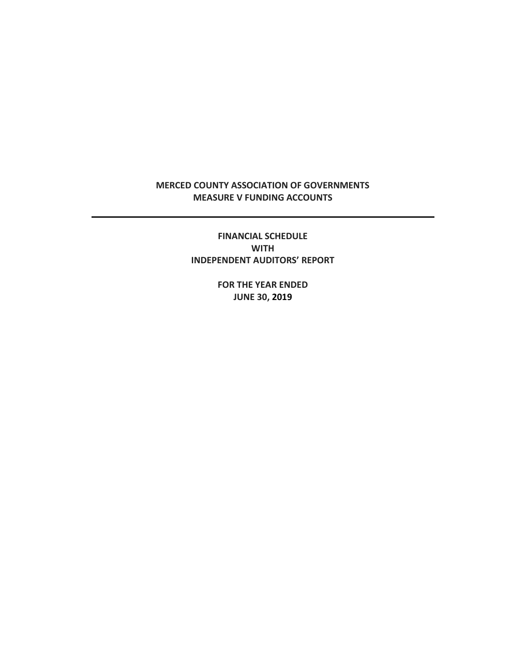# **MERCED COUNTY ASSOCIATION OF GOVERNMENTS MEASURE V FUNDING ACCOUNTS**

**FINANCIAL SCHEDULE WITH INDEPENDENT AUDITORS' REPORT**

> **FOR THE YEAR ENDED JUNE 30, 2019**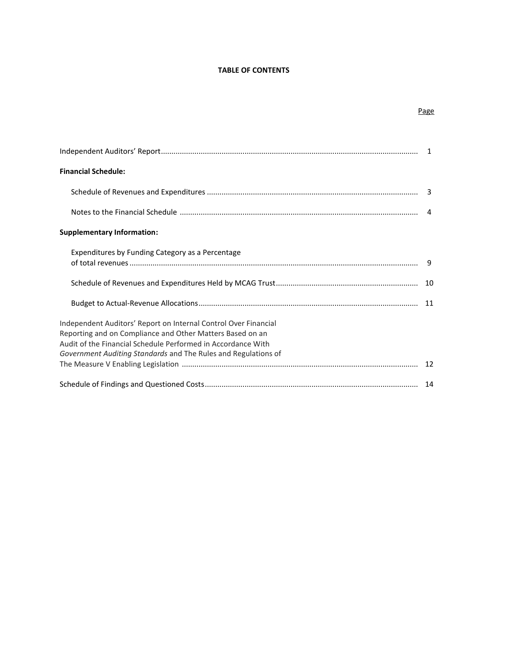# **TABLE OF CONTENTS**

|                                                                                                                                                                                                                                                                | -1             |
|----------------------------------------------------------------------------------------------------------------------------------------------------------------------------------------------------------------------------------------------------------------|----------------|
| <b>Financial Schedule:</b>                                                                                                                                                                                                                                     |                |
|                                                                                                                                                                                                                                                                |                |
|                                                                                                                                                                                                                                                                | $\overline{a}$ |
| <b>Supplementary Information:</b>                                                                                                                                                                                                                              |                |
| Expenditures by Funding Category as a Percentage                                                                                                                                                                                                               | 9              |
|                                                                                                                                                                                                                                                                | 10             |
|                                                                                                                                                                                                                                                                | 11             |
| Independent Auditors' Report on Internal Control Over Financial<br>Reporting and on Compliance and Other Matters Based on an<br>Audit of the Financial Schedule Performed in Accordance With<br>Government Auditing Standards and The Rules and Regulations of | 12             |
|                                                                                                                                                                                                                                                                |                |

# Page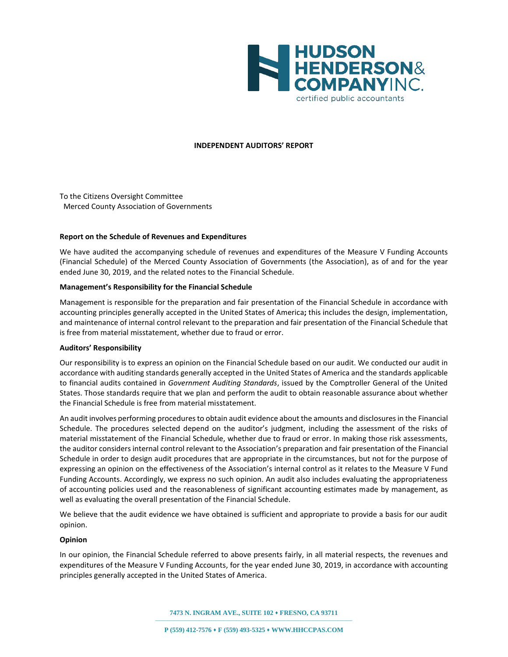

#### **INDEPENDENT AUDITORS' REPORT**

To the Citizens Oversight Committee Merced County Association of Governments

#### **Report on the Schedule of Revenues and Expenditures**

We have audited the accompanying schedule of revenues and expenditures of the Measure V Funding Accounts (Financial Schedule) of the Merced County Association of Governments (the Association), as of and for the year ended June 30, 2019, and the related notes to the Financial Schedule.

#### **Management's Responsibility for the Financial Schedule**

Management is responsible for the preparation and fair presentation of the Financial Schedule in accordance with accounting principles generally accepted in the United States of America**;** this includes the design, implementation, and maintenance of internal control relevant to the preparation and fair presentation of the Financial Schedule that is free from material misstatement, whether due to fraud or error.

#### **Auditors' Responsibility**

Our responsibility is to express an opinion on the Financial Schedule based on our audit. We conducted our audit in accordance with auditing standards generally accepted in the United States of America and the standards applicable to financial audits contained in *Government Auditing Standards*, issued by the Comptroller General of the United States. Those standards require that we plan and perform the audit to obtain reasonable assurance about whether the Financial Schedule is free from material misstatement.

An audit involves performing procedures to obtain audit evidence about the amounts and disclosures in the Financial Schedule. The procedures selected depend on the auditor's judgment, including the assessment of the risks of material misstatement of the Financial Schedule, whether due to fraud or error. In making those risk assessments, the auditor considers internal control relevant to the Association's preparation and fair presentation of the Financial Schedule in order to design audit procedures that are appropriate in the circumstances, but not for the purpose of expressing an opinion on the effectiveness of the Association's internal control as it relates to the Measure V Fund Funding Accounts. Accordingly, we express no such opinion. An audit also includes evaluating the appropriateness of accounting policies used and the reasonableness of significant accounting estimates made by management, as well as evaluating the overall presentation of the Financial Schedule.

We believe that the audit evidence we have obtained is sufficient and appropriate to provide a basis for our audit opinion.

#### **Opinion**

In our opinion, the Financial Schedule referred to above presents fairly, in all material respects, the revenues and expenditures of the Measure V Funding Accounts, for the year ended June 30, 2019, in accordance with accounting principles generally accepted in the United States of America.

**7473 N. INGRAM AVE., SUITE 102** ⬧ **FRESNO, CA 93711**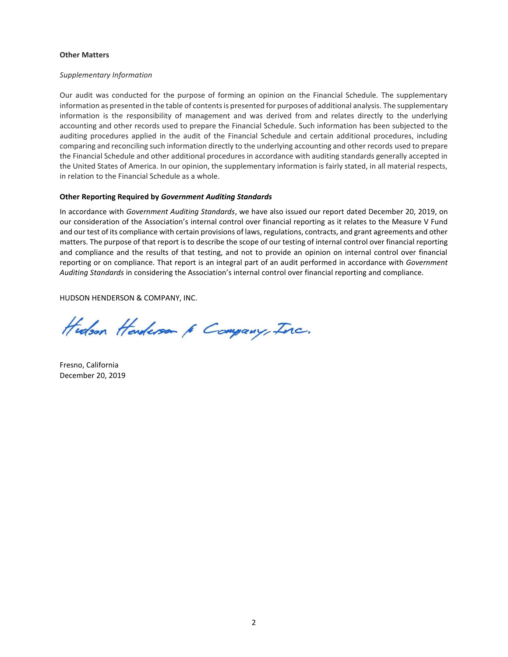## **Other Matters**

## *Supplementary Information*

Our audit was conducted for the purpose of forming an opinion on the Financial Schedule. The supplementary information as presented in the table of contents is presented for purposes of additional analysis. The supplementary information is the responsibility of management and was derived from and relates directly to the underlying accounting and other records used to prepare the Financial Schedule. Such information has been subjected to the auditing procedures applied in the audit of the Financial Schedule and certain additional procedures, including comparing and reconciling such information directly to the underlying accounting and other records used to prepare the Financial Schedule and other additional procedures in accordance with auditing standards generally accepted in the United States of America. In our opinion, the supplementary information is fairly stated, in all material respects, in relation to the Financial Schedule as a whole.

## **Other Reporting Required by** *Government Auditing Standards*

In accordance with *Government Auditing Standards*, we have also issued our report dated December 20, 2019, on our consideration of the Association's internal control over financial reporting as it relates to the Measure V Fund and our test of its compliance with certain provisions of laws, regulations, contracts, and grant agreements and other matters. The purpose of that report is to describe the scope of our testing of internal control over financial reporting and compliance and the results of that testing, and not to provide an opinion on internal control over financial reporting or on compliance. That report is an integral part of an audit performed in accordance with *Government Auditing Standards* in considering the Association's internal control over financial reporting and compliance.

HUDSON HENDERSON & COMPANY, INC.

Hudson Handerson 6 Campany, Inc.

Fresno, California December 20, 2019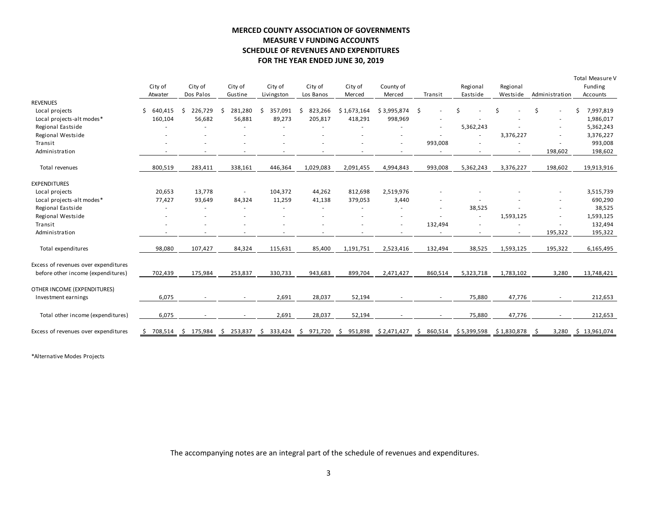# **MERCED COUNTY ASSOCIATION OF GOVERNMENTS MEASURE V FUNDING ACCOUNTS SCHEDULE OF REVENUES AND EXPENDITURES FOR THE YEAR ENDED JUNE 30, 2019**

|                                                                            |                    |                      |                    |                       | FOR THE YEAR ENDED JUNE 30, 2019 |                          |                     |                          |                      |                      |                          |                                        |
|----------------------------------------------------------------------------|--------------------|----------------------|--------------------|-----------------------|----------------------------------|--------------------------|---------------------|--------------------------|----------------------|----------------------|--------------------------|----------------------------------------|
|                                                                            | City of<br>Atwater | City of<br>Dos Palos | City of<br>Gustine | City of<br>Livingston | City of<br>Los Banos             | City of<br>Merced        | County of<br>Merced | Transit                  | Regional<br>Eastside | Regional<br>Westside | Administration           | Total Measure V<br>Funding<br>Accounts |
| <b>REVENUES</b>                                                            |                    |                      |                    |                       |                                  |                          |                     |                          |                      |                      |                          |                                        |
| Local projects                                                             | 640,415<br>Ś       | 226,729<br>\$        | 281,280<br>\$      | 357,091<br>\$         | \$<br>823,266                    | \$1,673,164              | \$3,995,874         | \$                       | Ś                    | Ś                    | Ś.<br>$\sim$             | 7,997,819                              |
| Local projects-alt modes*                                                  | 160,104            | 56,682               | 56,881             | 89,273                | 205,817                          | 418,291                  | 998,969             |                          |                      |                      |                          | 1,986,017                              |
| Regional Eastside                                                          |                    |                      |                    |                       |                                  |                          |                     |                          | 5,362,243            |                      |                          | 5,362,243                              |
| Regional Westside                                                          |                    |                      |                    |                       |                                  |                          |                     |                          | $\sim$               | 3,376,227            |                          | 3,376,227                              |
| Transit                                                                    |                    |                      |                    |                       |                                  |                          |                     | 993,008                  |                      |                      |                          | 993,008                                |
| Administration                                                             |                    | $\sim$               | $\sim$             | $\sim$                |                                  | $\overline{\phantom{a}}$ | $\sim$              | $\sim$                   | ٠                    | $\sim$               | 198,602                  | 198,602                                |
| Total revenues                                                             | 800,519            | 283,411              | 338,161            | 446,364               | 1,029,083                        | 2,091,455                | 4,994,843           | 993,008                  | 5,362,243            | 3,376,227            | 198,602                  | 19,913,916                             |
| <b>EXPENDITURES</b>                                                        |                    |                      |                    |                       |                                  |                          |                     |                          |                      |                      |                          |                                        |
| Local projects                                                             | 20,653             | 13,778               | $\sim$             | 104,372               | 44,262                           | 812,698                  | 2,519,976           |                          |                      |                      |                          | 3,515,739                              |
| Local projects-alt modes*                                                  | 77,427             | 93,649               | 84,324             | 11,259                | 41,138                           | 379,053                  | 3,440               |                          |                      |                      |                          | 690,290                                |
| Regional Eastside                                                          |                    |                      |                    |                       |                                  |                          | $\sim$              | $\overline{\phantom{a}}$ | 38,525               |                      | $\sim$                   | 38,525                                 |
| Regional Westside                                                          |                    |                      |                    |                       |                                  |                          |                     |                          |                      | 1,593,125            | $\sim$                   | 1,593,125                              |
| Transit                                                                    |                    |                      |                    |                       |                                  |                          |                     | 132,494                  |                      |                      | ٠                        | 132,494                                |
| Administration                                                             |                    |                      |                    |                       |                                  |                          |                     |                          |                      |                      | 195,322                  | 195,322                                |
| Total expenditures                                                         | 98,080             | 107,427              | 84,324             | 115,631               | 85,400                           | 1,191,751                | 2,523,416           | 132,494                  | 38,525               | 1,593,125            | 195,322                  | 6,165,495                              |
| Excess of revenues over expenditures<br>before other income (expenditures) | 702,439            | 175,984              | 253,837            | 330,733               | 943,683                          | 899,704                  | 2,471,427           | 860,514                  | 5,323,718            | 1,783,102            | 3,280                    | 13,748,421                             |
|                                                                            |                    |                      |                    |                       |                                  |                          |                     |                          |                      |                      |                          |                                        |
| OTHER INCOME (EXPENDITURES)                                                |                    |                      |                    |                       |                                  |                          |                     |                          |                      |                      |                          |                                        |
| Investment earnings                                                        | 6,075              |                      |                    | 2,691                 | 28,037                           | 52,194                   |                     | $\sim$                   | 75,880               | 47,776               | $\sim$                   | 212,653                                |
| Total other income (expenditures)                                          | 6,075              |                      |                    | 2,691                 | 28,037                           | 52,194                   |                     | $\overline{\phantom{a}}$ | 75,880               | 47,776               | $\overline{\phantom{a}}$ | 212,653                                |
| Excess of revenues over expenditures                                       | 708,514<br>-\$     | 175,984<br>- Ş       | 253,837<br>S.      | 333,424<br>-\$        | 971,720<br>\$.                   | 951,898<br>S.            | \$2,471,427         | 860,514<br>S.            | \$5,399,598          | \$1,830,878          | 3,280<br>-S              | \$13,961,074                           |
|                                                                            |                    |                      |                    |                       |                                  |                          |                     |                          |                      |                      |                          |                                        |

\*Alternative Modes Projects

The accompanying notes are an integral part of the schedule of revenues and expenditures.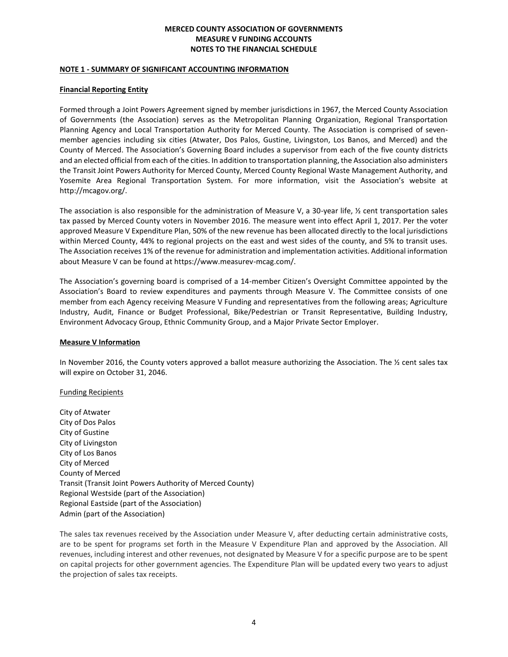#### **NOTE 1 - SUMMARY OF SIGNIFICANT ACCOUNTING INFORMATION**

## **Financial Reporting Entity**

Formed through a Joint Powers Agreement signed by member jurisdictions in 1967, the Merced County Association of Governments (the Association) serves as the Metropolitan Planning Organization, Regional Transportation Planning Agency and Local Transportation Authority for Merced County. The Association is comprised of sevenmember agencies including six cities (Atwater, Dos Palos, Gustine, Livingston, Los Banos, and Merced) and the County of Merced. The Association's Governing Board includes a supervisor from each of the five county districts and an elected official from each of the cities. In addition to transportation planning, the Association also administers the Transit Joint Powers Authority for Merced County, Merced County Regional Waste Management Authority, and Yosemite Area Regional Transportation System. For more information, visit the Association's website at http://mcagov.org/.

The association is also responsible for the administration of Measure V, a 30-year life, ½ cent transportation sales tax passed by Merced County voters in November 2016. The measure went into effect April 1, 2017. Per the voter approved Measure V Expenditure Plan, 50% of the new revenue has been allocated directly to the local jurisdictions within Merced County, 44% to regional projects on the east and west sides of the county, and 5% to transit uses. The Association receives 1% of the revenue for administration and implementation activities. Additional information about Measure V can be found at https://www.measurev-mcag.com/.

The Association's governing board is comprised of a 14-member Citizen's Oversight Committee appointed by the Association's Board to review expenditures and payments through Measure V. The Committee consists of one member from each Agency receiving Measure V Funding and representatives from the following areas; Agriculture Industry, Audit, Finance or Budget Professional, Bike/Pedestrian or Transit Representative, Building Industry, Environment Advocacy Group, Ethnic Community Group, and a Major Private Sector Employer.

# **Measure V Information**

In November 2016, the County voters approved a ballot measure authorizing the Association. The  $\frac{1}{2}$  cent sales tax will expire on October 31, 2046.

## Funding Recipients

City of Atwater City of Dos Palos City of Gustine City of Livingston City of Los Banos City of Merced County of Merced Transit (Transit Joint Powers Authority of Merced County) Regional Westside (part of the Association) Regional Eastside (part of the Association) Admin (part of the Association)

The sales tax revenues received by the Association under Measure V, after deducting certain administrative costs, are to be spent for programs set forth in the Measure V Expenditure Plan and approved by the Association. All revenues, including interest and other revenues, not designated by Measure V for a specific purpose are to be spent on capital projects for other government agencies. The Expenditure Plan will be updated every two years to adjust the projection of sales tax receipts.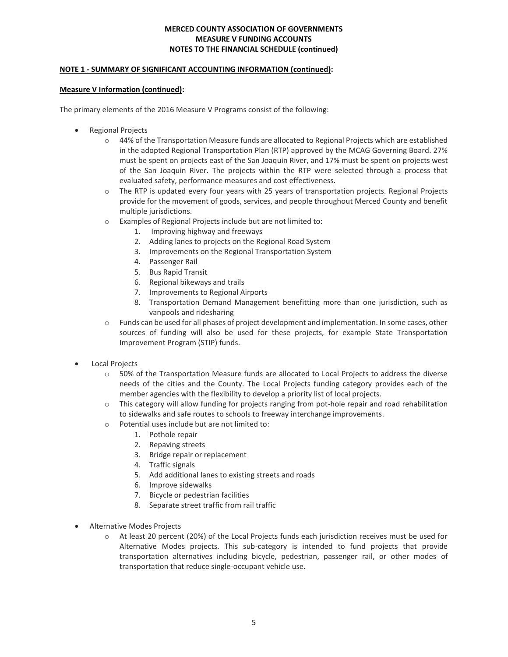## **NOTE 1 - SUMMARY OF SIGNIFICANT ACCOUNTING INFORMATION (continued):**

## **Measure V Information (continued):**

The primary elements of the 2016 Measure V Programs consist of the following:

- Regional Projects
	- $\circ$  44% of the Transportation Measure funds are allocated to Regional Projects which are established in the adopted Regional Transportation Plan (RTP) approved by the MCAG Governing Board. 27% must be spent on projects east of the San Joaquin River, and 17% must be spent on projects west of the San Joaquin River. The projects within the RTP were selected through a process that evaluated safety, performance measures and cost effectiveness.
	- o The RTP is updated every four years with 25 years of transportation projects. Regional Projects provide for the movement of goods, services, and people throughout Merced County and benefit multiple jurisdictions.
	- o Examples of Regional Projects include but are not limited to:
		- 1. Improving highway and freeways
		- 2. Adding lanes to projects on the Regional Road System
		- 3. Improvements on the Regional Transportation System
		- 4. Passenger Rail
		- 5. Bus Rapid Transit
		- 6. Regional bikeways and trails
		- 7. Improvements to Regional Airports
		- 8. Transportation Demand Management benefitting more than one jurisdiction, such as vanpools and ridesharing
	- o Funds can be used for all phases of project development and implementation. In some cases, other sources of funding will also be used for these projects, for example State Transportation Improvement Program (STIP) funds.
- Local Projects
	- o 50% of the Transportation Measure funds are allocated to Local Projects to address the diverse needs of the cities and the County. The Local Projects funding category provides each of the member agencies with the flexibility to develop a priority list of local projects.
	- $\circ$  This category will allow funding for projects ranging from pot-hole repair and road rehabilitation to sidewalks and safe routes to schools to freeway interchange improvements.
	- o Potential uses include but are not limited to:
		- 1. Pothole repair
		- 2. Repaving streets
		- 3. Bridge repair or replacement
		- 4. Traffic signals
		- 5. Add additional lanes to existing streets and roads
		- 6. Improve sidewalks
		- 7. Bicycle or pedestrian facilities
		- 8. Separate street traffic from rail traffic
- Alternative Modes Projects
	- o At least 20 percent (20%) of the Local Projects funds each jurisdiction receives must be used for Alternative Modes projects. This sub-category is intended to fund projects that provide transportation alternatives including bicycle, pedestrian, passenger rail, or other modes of transportation that reduce single-occupant vehicle use.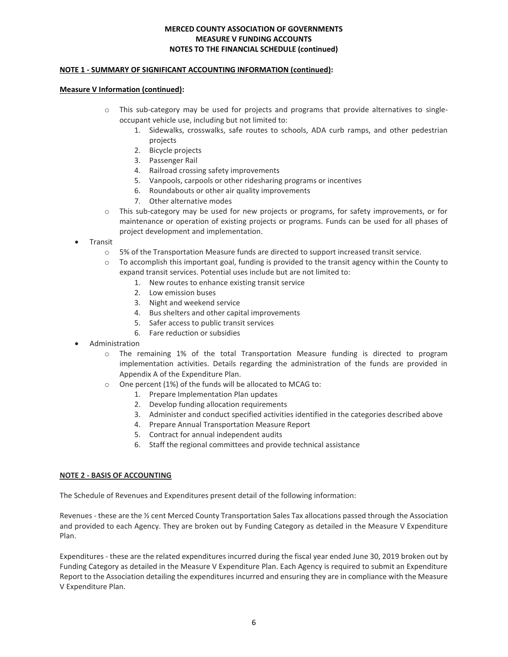### **NOTE 1 - SUMMARY OF SIGNIFICANT ACCOUNTING INFORMATION (continued):**

### **Measure V Information (continued):**

- o This sub-category may be used for projects and programs that provide alternatives to singleoccupant vehicle use, including but not limited to:
	- 1. Sidewalks, crosswalks, safe routes to schools, ADA curb ramps, and other pedestrian projects
	- 2. Bicycle projects
	- 3. Passenger Rail
	- 4. Railroad crossing safety improvements
	- 5. Vanpools, carpools or other ridesharing programs or incentives
	- 6. Roundabouts or other air quality improvements
	- 7. Other alternative modes
- o This sub-category may be used for new projects or programs, for safety improvements, or for maintenance or operation of existing projects or programs. Funds can be used for all phases of project development and implementation.
- **Transit** 
	- o 5% of the Transportation Measure funds are directed to support increased transit service.
	- $\circ$  To accomplish this important goal, funding is provided to the transit agency within the County to expand transit services. Potential uses include but are not limited to:
		- 1. New routes to enhance existing transit service
		- 2. Low emission buses
		- 3. Night and weekend service
		- 4. Bus shelters and other capital improvements
		- 5. Safer access to public transit services
		- 6. Fare reduction or subsidies
- Administration
	- o The remaining 1% of the total Transportation Measure funding is directed to program implementation activities. Details regarding the administration of the funds are provided in Appendix A of the Expenditure Plan.
	- o One percent (1%) of the funds will be allocated to MCAG to:
		- 1. Prepare Implementation Plan updates
		- 2. Develop funding allocation requirements
		- 3. Administer and conduct specified activities identified in the categories described above
		- 4. Prepare Annual Transportation Measure Report
		- 5. Contract for annual independent audits
		- 6. Staff the regional committees and provide technical assistance

## **NOTE 2 - BASIS OF ACCOUNTING**

The Schedule of Revenues and Expenditures present detail of the following information:

Revenues - these are the ½ cent Merced County Transportation Sales Tax allocations passed through the Association and provided to each Agency. They are broken out by Funding Category as detailed in the Measure V Expenditure Plan.

Expenditures - these are the related expenditures incurred during the fiscal year ended June 30, 2019 broken out by Funding Category as detailed in the Measure V Expenditure Plan. Each Agency is required to submit an Expenditure Report to the Association detailing the expenditures incurred and ensuring they are in compliance with the Measure V Expenditure Plan.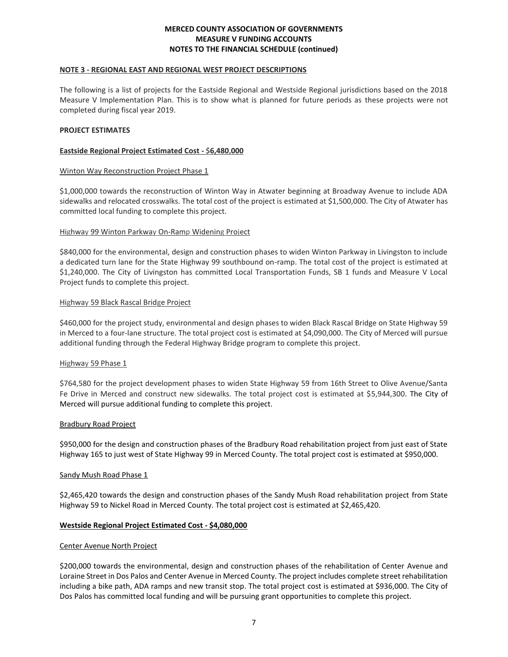#### **NOTE 3 - REGIONAL EAST AND REGIONAL WEST PROJECT DESCRIPTIONS**

The following is a list of projects for the Eastside Regional and Westside Regional jurisdictions based on the 2018 Measure V Implementation Plan. This is to show what is planned for future periods as these projects were not completed during fiscal year 2019.

## **PROJECT ESTIMATES**

## **Eastside Regional Project Estimated Cost - \$6,480,000**

## Winton Way Reconstruction Project Phase 1

\$1,000,000 towards the reconstruction of Winton Way in Atwater beginning at Broadway Avenue to include ADA sidewalks and relocated crosswalks. The total cost of the project is estimated at \$1,500,000. The City of Atwater has committed local funding to complete this project.

## Highway 99 Winton Parkway On-Ramp Widening Project

\$840,000 for the environmental, design and construction phases to widen Winton Parkway in Livingston to include a dedicated turn lane for the State Highway 99 southbound on-ramp. The total cost of the project is estimated at \$1,240,000. The City of Livingston has committed Local Transportation Funds, SB 1 funds and Measure V Local Project funds to complete this project.

#### Highway 59 Black Rascal Bridge Project

\$460,000 for the project study, environmental and design phases to widen Black Rascal Bridge on State Highway 59 in Merced to a four-lane structure. The total project cost is estimated at \$4,090,000. The City of Merced will pursue additional funding through the Federal Highway Bridge program to complete this project.

#### Highway 59 Phase 1

\$764,580 for the project development phases to widen State Highway 59 from 16th Street to Olive Avenue/Santa Fe Drive in Merced and construct new sidewalks. The total project cost is estimated at \$5,944,300. The City of Merced will pursue additional funding to complete this project.

#### Bradbury Road Project

\$950,000 for the design and construction phases of the Bradbury Road rehabilitation project from just east of State Highway 165 to just west of State Highway 99 in Merced County. The total project cost is estimated at \$950,000.

#### Sandy Mush Road Phase 1

\$2,465,420 towards the design and construction phases of the Sandy Mush Road rehabilitation project from State Highway 59 to Nickel Road in Merced County. The total project cost is estimated at \$2,465,420.

#### **Westside Regional Project Estimated Cost - \$4,080,000**

#### Center Avenue North Project

\$200,000 towards the environmental, design and construction phases of the rehabilitation of Center Avenue and Loraine Street in Dos Palos and Center Avenue in Merced County. The project includes complete street rehabilitation including a bike path, ADA ramps and new transit stop. The total project cost is estimated at \$936,000. The City of Dos Palos has committed local funding and will be pursuing grant opportunities to complete this project.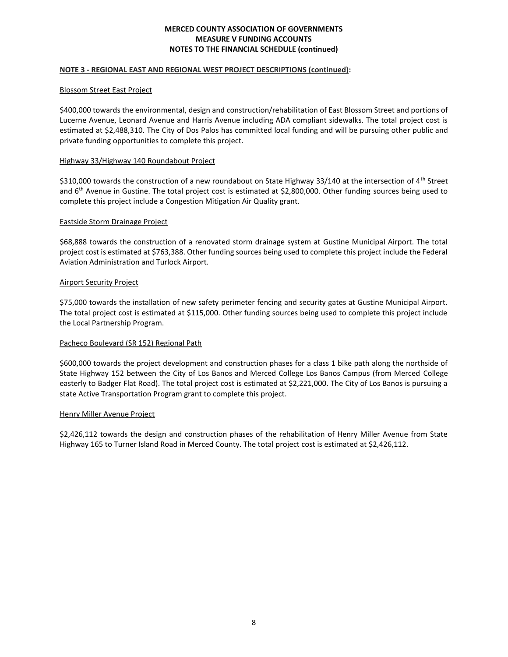### **NOTE 3 - REGIONAL EAST AND REGIONAL WEST PROJECT DESCRIPTIONS (continued):**

#### Blossom Street East Project

\$400,000 towards the environmental, design and construction/rehabilitation of East Blossom Street and portions of Lucerne Avenue, Leonard Avenue and Harris Avenue including ADA compliant sidewalks. The total project cost is estimated at \$2,488,310. The City of Dos Palos has committed local funding and will be pursuing other public and private funding opportunities to complete this project.

## Highway 33/Highway 140 Roundabout Project

\$310,000 towards the construction of a new roundabout on State Highway 33/140 at the intersection of 4<sup>th</sup> Street and 6<sup>th</sup> Avenue in Gustine. The total project cost is estimated at \$2,800,000. Other funding sources being used to complete this project include a Congestion Mitigation Air Quality grant.

#### Eastside Storm Drainage Project

\$68,888 towards the construction of a renovated storm drainage system at Gustine Municipal Airport. The total project cost is estimated at \$763,388. Other funding sources being used to complete this project include the Federal Aviation Administration and Turlock Airport.

## Airport Security Project

\$75,000 towards the installation of new safety perimeter fencing and security gates at Gustine Municipal Airport. The total project cost is estimated at \$115,000. Other funding sources being used to complete this project include the Local Partnership Program.

## Pacheco Boulevard (SR 152) Regional Path

\$600,000 towards the project development and construction phases for a class 1 bike path along the northside of State Highway 152 between the City of Los Banos and Merced College Los Banos Campus (from Merced College easterly to Badger Flat Road). The total project cost is estimated at \$2,221,000. The City of Los Banos is pursuing a state Active Transportation Program grant to complete this project.

#### Henry Miller Avenue Project

\$2,426,112 towards the design and construction phases of the rehabilitation of Henry Miller Avenue from State Highway 165 to Turner Island Road in Merced County. The total project cost is estimated at \$2,426,112.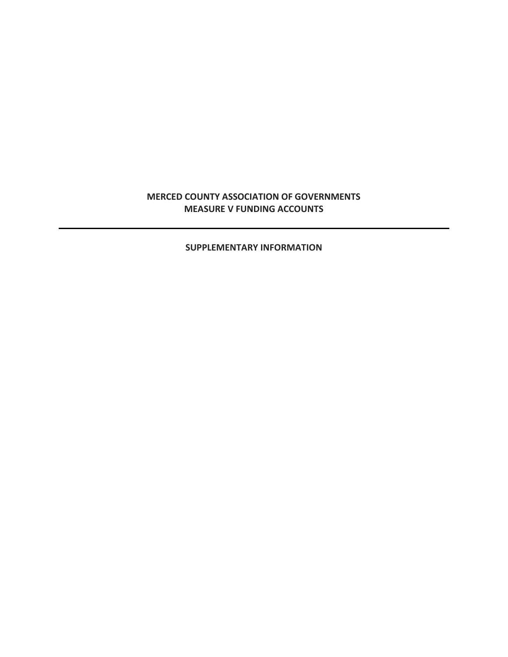# **MERCED COUNTY ASSOCIATION OF GOVERNMENTS MEASURE V FUNDING ACCOUNTS**

# **SUPPLEMENTARY INFORMATION**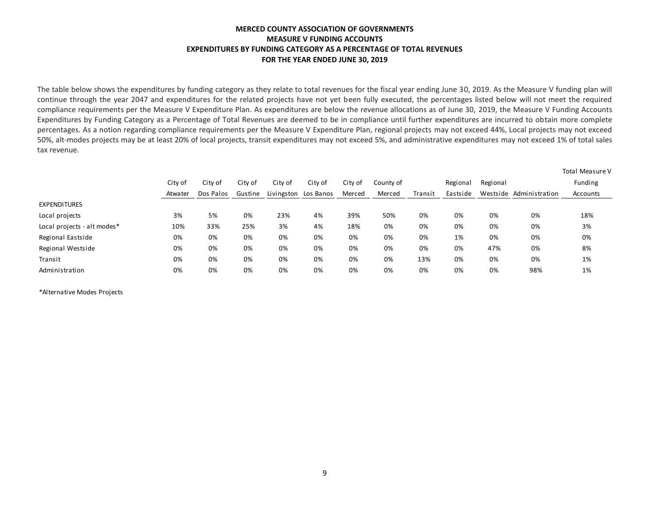# **MERCED COUNTY ASSOCIATION OF GOVERNMENTS MEASURE V FUNDING ACCOUNTS EXPENDITURES BY FUNDING CATEGORY AS A PERCENTAGE OF TOTAL REVENUES FOR THE YEAR ENDED JUNE 30, 2019**

The table below shows the expenditures by funding category as they relate to total revenues for the fiscal year ending June 30, 2019. As the Measure V funding plan will continue through the year 2047 and expenditures for the related projects have not yet been fully executed, the percentages listed below will not meet the required compliance requirements per the Measure V Expenditure Plan. As expenditures are below the revenue allocations as of June 30, 2019, the Measure V Funding Accounts Expenditures by Funding Category as a Percentage of Total Revenues are deemed to be in compliance until further expenditures are incurred to obtain more complete percentages. As a notion regarding compliance requirements per the Measure V Expenditure Plan, regional projects may not exceed 44%, Local projects may not exceed 50%, alt-modes projects may be at least 20% of local projects, transit expenditures may not exceed 5%, and administrative expenditures may not exceed 1% of total sales tax revenue.

|                             | City of | City of   | City of | City of | City of              | City of | County of |         | Regional | Regional |                         | <b>Total Measure V</b><br>Funding |
|-----------------------------|---------|-----------|---------|---------|----------------------|---------|-----------|---------|----------|----------|-------------------------|-----------------------------------|
|                             | Atwater | Dos Palos | Gustine |         | Livingston Los Banos | Merced  | Merced    | Transit | Eastside |          | Westside Administration | Accounts                          |
| <b>EXPENDITURES</b>         |         |           |         |         |                      |         |           |         |          |          |                         |                                   |
| Local projects              | 3%      | 5%        | 0%      | 23%     | 4%                   | 39%     | 50%       | 0%      | 0%       | 0%       | 0%                      | 18%                               |
| Local projects - alt modes* | 10%     | 33%       | 25%     | 3%      | 4%                   | 18%     | 0%        | 0%      | 0%       | 0%       | 0%                      | 3%                                |
| Regional Eastside           | 0%      | 0%        | 0%      | 0%      | 0%                   | 0%      | 0%        | 0%      | 1%       | 0%       | 0%                      | 0%                                |
| Regional Westside           | 0%      | 0%        | 0%      | 0%      | 0%                   | 0%      | 0%        | 0%      | 0%       | 47%      | 0%                      | 8%                                |
| Transit                     | 0%      | 0%        | 0%      | 0%      | 0%                   | 0%      | 0%        | 13%     | 0%       | 0%       | 0%                      | 1%                                |
| Administration              | 0%      | 0%        | 0%      | 0%      | 0%                   | 0%      | 0%        | 0%      | 0%       | 0%       | 98%                     | 1%                                |

\*Alternative Modes Projects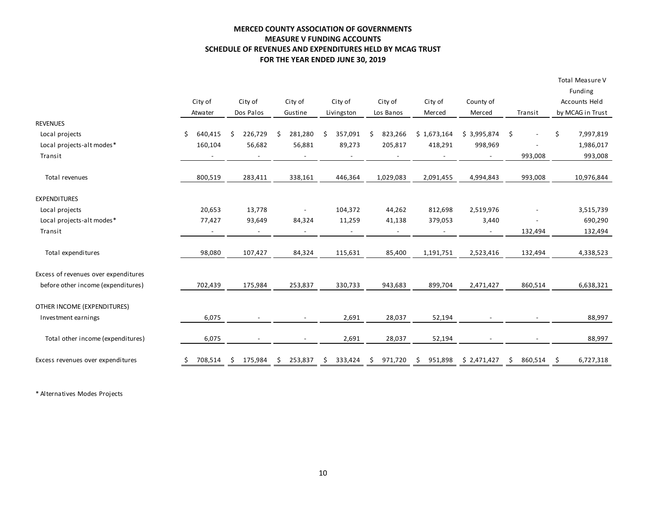# **MERCED COUNTY ASSOCIATION OF GOVERNMENTS MEASURE V FUNDING ACCOUNTS SCHEDULE OF REVENUES AND EXPENDITURES HELD BY MCAG TRUST FOR THE YEAR ENDED JUNE 30, 2019**

|                                      |                          |                          |                          |                          |                |                          |                          |                                | Total Measure V  |
|--------------------------------------|--------------------------|--------------------------|--------------------------|--------------------------|----------------|--------------------------|--------------------------|--------------------------------|------------------|
|                                      |                          |                          |                          |                          |                |                          |                          |                                | Funding          |
|                                      | City of                  | City of                  | City of                  | City of                  | City of        | City of                  | County of                |                                | Accounts Held    |
|                                      | Atwater                  | Dos Palos                | Gustine                  | Livingston               | Los Banos      | Merced                   | Merced                   | Transit                        | by MCAG in Trust |
| <b>REVENUES</b>                      |                          |                          |                          |                          |                |                          |                          |                                |                  |
| Local projects                       | \$<br>640,415            | 226,729<br>\$            | \$<br>281,280            | 357,091<br>Ŝ.            | 823,266<br>Ŝ   | \$1,673,164              | \$3,995,874              | \$<br>$\overline{\phantom{a}}$ | \$<br>7,997,819  |
| Local projects-alt modes*            | 160,104                  | 56,682                   | 56,881                   | 89,273                   | 205,817        | 418,291                  | 998,969                  |                                | 1,986,017        |
| Transit                              |                          | $\overline{\phantom{a}}$ | $\blacksquare$           | $\overline{\phantom{a}}$ | $\blacksquare$ |                          | $\overline{\phantom{a}}$ | 993,008                        | 993,008          |
| Total revenues                       | 800,519                  | 283,411                  | 338,161                  | 446,364                  | 1,029,083      | 2,091,455                | 4,994,843                | 993,008                        | 10,976,844       |
| <b>EXPENDITURES</b>                  |                          |                          |                          |                          |                |                          |                          |                                |                  |
| Local projects                       | 20,653                   | 13,778                   | $\overline{\phantom{a}}$ | 104,372                  | 44,262         | 812,698                  | 2,519,976                | $\overline{a}$                 | 3,515,739        |
| Local projects-alt modes*            | 77,427                   | 93,649                   | 84,324                   | 11,259                   | 41,138         | 379,053                  | 3,440                    |                                | 690,290          |
| Transit                              | $\overline{\phantom{a}}$ | $\blacksquare$           | $\overline{\phantom{a}}$ | $\blacksquare$           | $\blacksquare$ | $\overline{\phantom{a}}$ | $\overline{\phantom{a}}$ | 132,494                        | 132,494          |
| Total expenditures                   | 98,080                   | 107,427                  | 84,324                   | 115,631                  | 85,400         | 1,191,751                | 2,523,416                | 132,494                        | 4,338,523        |
| Excess of revenues over expenditures |                          |                          |                          |                          |                |                          |                          |                                |                  |
| before other income (expenditures)   | 702,439                  | 175,984                  | 253,837                  | 330,733                  | 943,683        | 899,704                  | 2,471,427                | 860,514                        | 6,638,321        |
| OTHER INCOME (EXPENDITURES)          |                          |                          |                          |                          |                |                          |                          |                                |                  |
| Investment earnings                  | 6,075                    | $\overline{\phantom{a}}$ | $\blacksquare$           | 2,691                    | 28,037         | 52,194                   | $\overline{\phantom{a}}$ | $\overline{\phantom{a}}$       | 88,997           |
| Total other income (expenditures)    | 6,075                    |                          |                          | 2,691                    | 28,037         | 52,194                   |                          |                                | 88,997           |
| Excess revenues over expenditures    | 708,514<br>\$            | 175,984<br>\$.           | 253,837<br>\$.           | 333,424<br>\$            | 971,720<br>\$  | 951,898<br>\$.           | \$2,471,427              | 860,514<br>\$                  | 6,727,318<br>-\$ |

\* Alternatives Modes Projects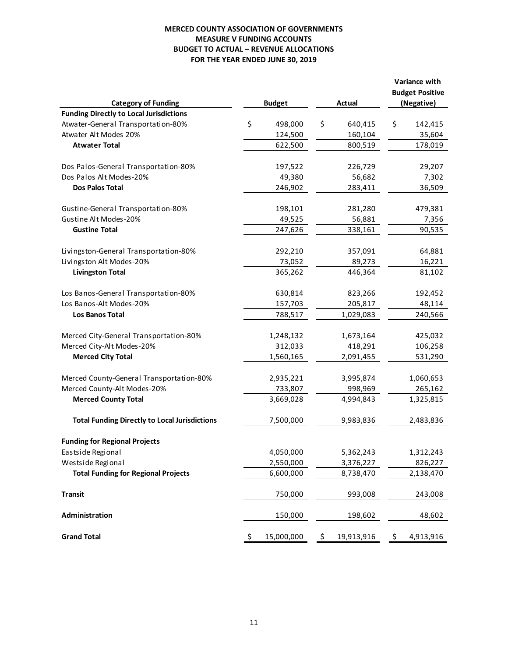# **MERCED COUNTY ASSOCIATION OF GOVERNMENTS MEASURE V FUNDING ACCOUNTS BUDGET TO ACTUAL – REVENUE ALLOCATIONS FOR THE YEAR ENDED JUNE 30, 2019**

|                                                                              |    |                        |    |                        |     | Variance with                        |
|------------------------------------------------------------------------------|----|------------------------|----|------------------------|-----|--------------------------------------|
|                                                                              |    |                        |    | <b>Actual</b>          |     | <b>Budget Positive</b><br>(Negative) |
| <b>Category of Funding</b><br><b>Funding Directly to Local Jurisdictions</b> |    | <b>Budget</b>          |    |                        |     |                                      |
| Atwater-General Transportation-80%                                           | \$ | 498,000                | \$ | 640,415                | \$  | 142,415                              |
| Atwater Alt Modes 20%                                                        |    | 124,500                |    | 160,104                |     | 35,604                               |
| <b>Atwater Total</b>                                                         |    | 622,500                |    | 800,519                |     | 178,019                              |
|                                                                              |    |                        |    |                        |     |                                      |
| Dos Palos-General Transportation-80%                                         |    | 197,522                |    | 226,729                |     | 29,207                               |
| Dos Palos Alt Modes-20%                                                      |    | 49,380                 |    | 56,682                 |     | 7,302                                |
| <b>Dos Palos Total</b>                                                       |    | 246,902                |    | 283,411                |     | 36,509                               |
|                                                                              |    |                        |    |                        |     |                                      |
| Gustine-General Transportation-80%                                           |    | 198,101                |    | 281,280                |     | 479,381                              |
| Gustine Alt Modes-20%                                                        |    | 49,525                 |    | 56,881                 |     | 7,356                                |
| <b>Gustine Total</b>                                                         |    | 247,626                |    | 338,161                |     | 90,535                               |
|                                                                              |    |                        |    |                        |     |                                      |
| Livingston-General Transportation-80%                                        |    | 292,210                |    | 357,091                |     | 64,881                               |
| Livingston Alt Modes-20%                                                     |    | 73,052                 |    | 89,273                 |     | 16,221                               |
| <b>Livingston Total</b>                                                      |    | 365,262                |    | 446,364                |     | 81,102                               |
|                                                                              |    |                        |    |                        |     |                                      |
| Los Banos-General Transportation-80%                                         |    | 630,814                |    | 823,266                |     | 192,452                              |
| Los Banos-Alt Modes-20%                                                      |    | 157,703                |    | 205,817                |     | 48,114                               |
| <b>Los Banos Total</b>                                                       |    | 788,517                |    | 1,029,083              |     | 240,566                              |
|                                                                              |    |                        |    |                        |     |                                      |
| Merced City-General Transportation-80%                                       |    | 1,248,132              |    | 1,673,164              |     | 425,032                              |
| Merced City-Alt Modes-20%                                                    |    | 312,033                |    | 418,291                |     | 106,258                              |
| <b>Merced City Total</b>                                                     |    | 1,560,165              |    | 2,091,455              |     | 531,290                              |
| Merced County-General Transportation-80%                                     |    | 2,935,221              |    | 3,995,874              |     | 1,060,653                            |
| Merced County-Alt Modes-20%                                                  |    | 733,807                |    | 998,969                |     | 265,162                              |
| <b>Merced County Total</b>                                                   |    | 3,669,028              |    | 4,994,843              |     | 1,325,815                            |
|                                                                              |    |                        |    |                        |     |                                      |
| <b>Total Funding Directly to Local Jurisdictions</b>                         |    | 7,500,000              |    | 9,983,836              |     | 2,483,836                            |
| <b>Funding for Regional Projects</b>                                         |    |                        |    |                        |     |                                      |
|                                                                              |    |                        |    |                        |     |                                      |
| Eastside Regional<br>Westside Regional                                       |    | 4,050,000<br>2,550,000 |    | 5,362,243<br>3,376,227 |     | 1,312,243<br>826,227                 |
| <b>Total Funding for Regional Projects</b>                                   |    | 6,600,000              |    | 8,738,470              |     | 2,138,470                            |
|                                                                              |    |                        |    |                        |     |                                      |
| <b>Transit</b>                                                               |    | 750,000                |    | 993,008                |     | 243,008                              |
|                                                                              |    |                        |    |                        |     |                                      |
| Administration                                                               |    | 150,000                |    | 198,602                |     | 48,602                               |
| <b>Grand Total</b>                                                           |    |                        |    |                        |     |                                      |
|                                                                              | Ş  | 15,000,000             | Ş  | 19,913,916             | \$. | 4,913,916                            |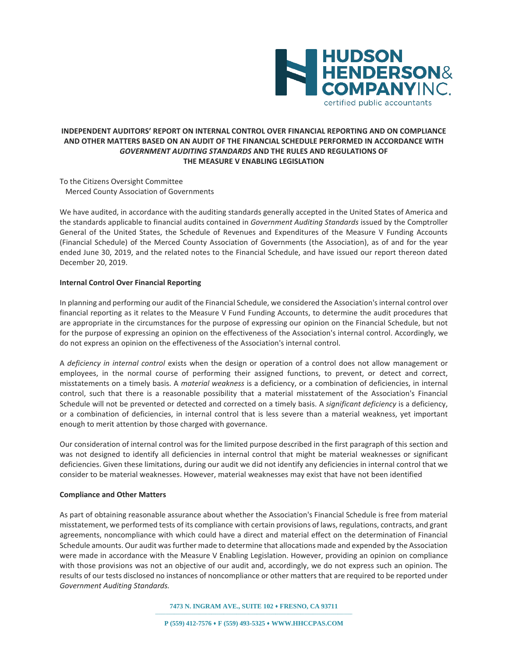

# **INDEPENDENT AUDITORS' REPORT ON INTERNAL CONTROL OVER FINANCIAL REPORTING AND ON COMPLIANCE AND OTHER MATTERS BASED ON AN AUDIT OF THE FINANCIAL SCHEDULE PERFORMED IN ACCORDANCE WITH**  *GOVERNMENT AUDITING STANDARDS* **AND THE RULES AND REGULATIONS OF THE MEASURE V ENABLING LEGISLATION**

To the Citizens Oversight Committee Merced County Association of Governments

We have audited, in accordance with the auditing standards generally accepted in the United States of America and the standards applicable to financial audits contained in *Government Auditing Standards* issued by the Comptroller General of the United States, the Schedule of Revenues and Expenditures of the Measure V Funding Accounts (Financial Schedule) of the Merced County Association of Governments (the Association), as of and for the year ended June 30, 2019, and the related notes to the Financial Schedule, and have issued our report thereon dated December 20, 2019.

## **Internal Control Over Financial Reporting**

In planning and performing our audit of the Financial Schedule, we considered the Association's internal control over financial reporting as it relates to the Measure V Fund Funding Accounts, to determine the audit procedures that are appropriate in the circumstances for the purpose of expressing our opinion on the Financial Schedule, but not for the purpose of expressing an opinion on the effectiveness of the Association's internal control. Accordingly, we do not express an opinion on the effectiveness of the Association's internal control.

A *deficiency in internal control* exists when the design or operation of a control does not allow management or employees, in the normal course of performing their assigned functions, to prevent, or detect and correct, misstatements on a timely basis. A *material weakness* is a deficiency, or a combination of deficiencies, in internal control, such that there is a reasonable possibility that a material misstatement of the Association's Financial Schedule will not be prevented or detected and corrected on a timely basis. A *significant deficiency* is a deficiency, or a combination of deficiencies, in internal control that is less severe than a material weakness, yet important enough to merit attention by those charged with governance.

Our consideration of internal control was for the limited purpose described in the first paragraph of this section and was not designed to identify all deficiencies in internal control that might be material weaknesses or significant deficiencies. Given these limitations, during our audit we did not identify any deficiencies in internal control that we consider to be material weaknesses. However, material weaknesses may exist that have not been identified

#### **Compliance and Other Matters**

As part of obtaining reasonable assurance about whether the Association's Financial Schedule is free from material misstatement, we performed tests of its compliance with certain provisions of laws, regulations, contracts, and grant agreements, noncompliance with which could have a direct and material effect on the determination of Financial Schedule amounts. Our audit was further made to determine that allocations made and expended by the Association were made in accordance with the Measure V Enabling Legislation. However, providing an opinion on compliance with those provisions was not an objective of our audit and, accordingly, we do not express such an opinion. The results of our tests disclosed no instances of noncompliance or other matters that are required to be reported under *Government Auditing Standards.*

**7473 N. INGRAM AVE., SUITE 102** ⬧ **FRESNO, CA 93711**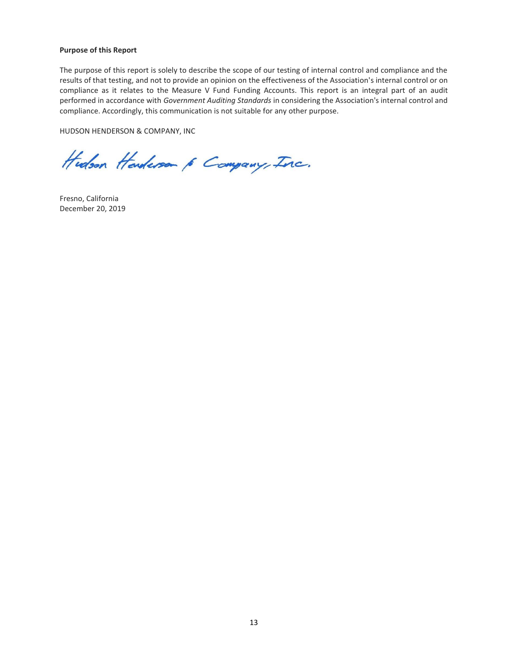#### **Purpose of this Report**

The purpose of this report is solely to describe the scope of our testing of internal control and compliance and the results of that testing, and not to provide an opinion on the effectiveness of the Association's internal control or on compliance as it relates to the Measure V Fund Funding Accounts. This report is an integral part of an audit performed in accordance with *Government Auditing Standards* in considering the Association's internal control and compliance. Accordingly, this communication is not suitable for any other purpose.

HUDSON HENDERSON & COMPANY, INC

Hudson Handerson & Company, Inc.

Fresno, California December 20, 2019